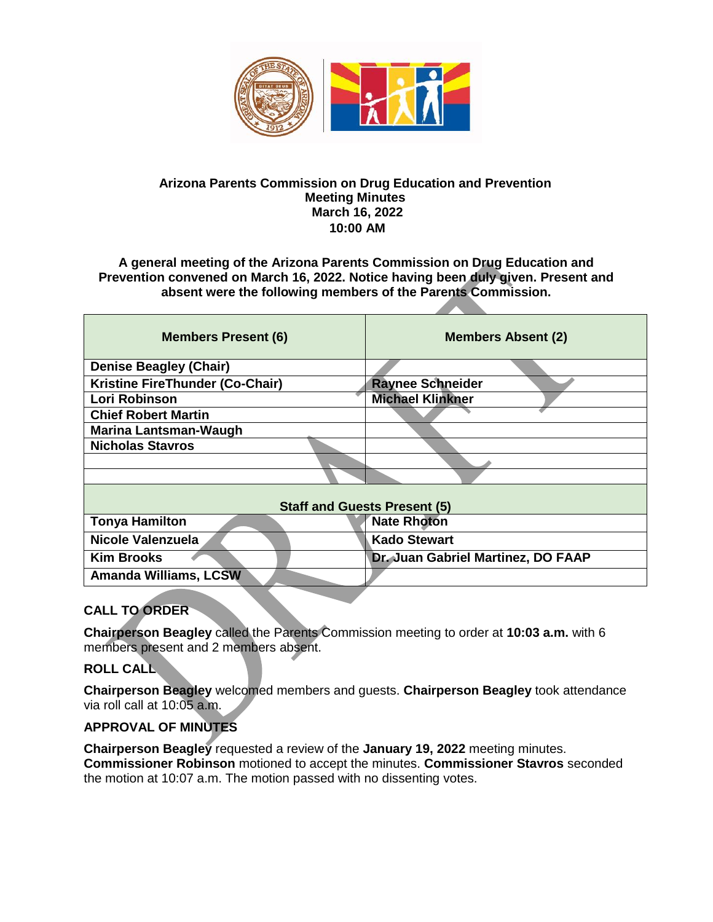

#### **Arizona Parents Commission on Drug Education and Prevention Meeting Minutes March 16, 2022 10:00 AM**

**A general meeting of the Arizona Parents Commission on Drug Education and Prevention convened on March 16, 2022. Notice having been duly given. Present and absent were the following members of the Parents Commission.** 

| <b>Members Present (6)</b>          | <b>Members Absent (2)</b>          |
|-------------------------------------|------------------------------------|
| <b>Denise Beagley (Chair)</b>       |                                    |
| Kristine FireThunder (Co-Chair)     | <b>Raynee Schneider</b>            |
| Lori Robinson                       | <b>Michael Klinkner</b>            |
| <b>Chief Robert Martin</b>          |                                    |
| Marina Lantsman-Waugh               |                                    |
| <b>Nicholas Stavros</b>             |                                    |
|                                     |                                    |
|                                     |                                    |
| <b>Staff and Guests Present (5)</b> |                                    |
| <b>Tonya Hamilton</b>               | <b>Nate Rhoton</b>                 |
| Nicole Valenzuela                   | <b>Kado Stewart</b>                |
| <b>Kim Brooks</b>                   | Dr. Juan Gabriel Martinez, DO FAAP |
| <b>Amanda Williams, LCSW</b>        |                                    |
|                                     |                                    |

# **CALL TO ORDER**

**Chairperson Beagley** called the Parents Commission meeting to order at **10:03 a.m.** with 6 members present and 2 members absent.

## **ROLL CALL**

**Chairperson Beagley** welcomed members and guests. **Chairperson Beagley** took attendance via roll call at 10:05 a.m.

# **APPROVAL OF MINUTES**

**Chairperson Beagley** requested a review of the **January 19, 2022** meeting minutes. **Commissioner Robinson** motioned to accept the minutes. **Commissioner Stavros** seconded the motion at 10:07 a.m. The motion passed with no dissenting votes.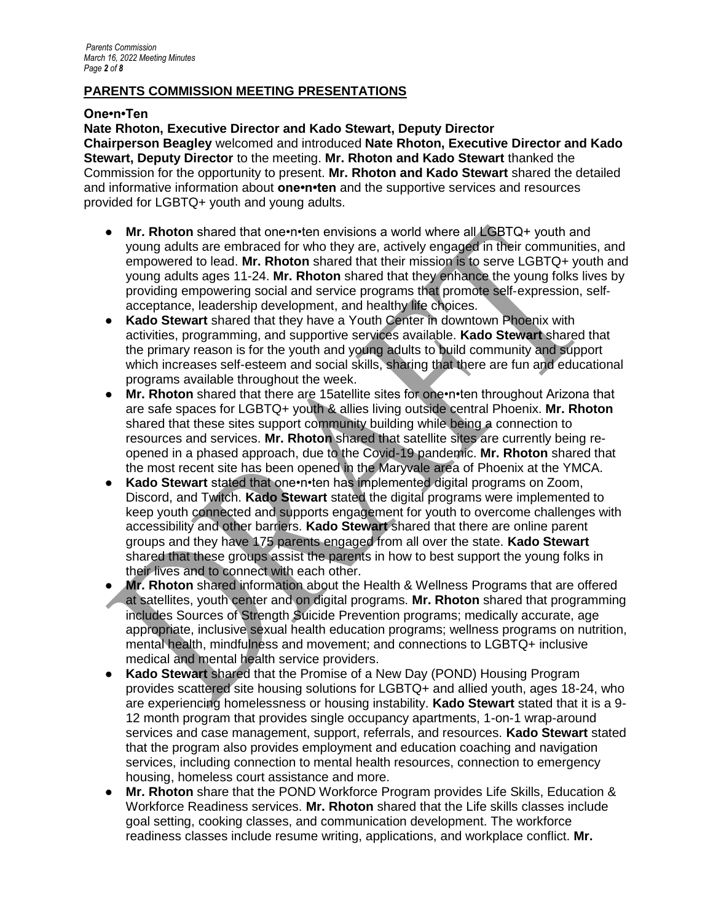#### **PARENTS COMMISSION MEETING PRESENTATIONS**

#### **One•n•Ten**

**Nate Rhoton, Executive Director and Kado Stewart, Deputy Director Chairperson Beagley** welcomed and introduced **Nate Rhoton, Executive Director and Kado Stewart, Deputy Director** to the meeting. **Mr. Rhoton and Kado Stewart** thanked the Commission for the opportunity to present. **Mr. Rhoton and Kado Stewart** shared the detailed and informative information about **one•n•ten** and the supportive services and resources provided for LGBTQ+ youth and young adults.

- **Mr. Rhoton** shared that one•n•ten envisions a world where all LGBTQ+ youth and young adults are embraced for who they are, actively engaged in their communities, and empowered to lead. **Mr. Rhoton** shared that their mission is to serve LGBTQ+ youth and young adults ages 11-24. **Mr. Rhoton** shared that they enhance the young folks lives by providing empowering social and service programs that promote self‐expression, self‐ acceptance, leadership development, and healthy life choices.
- **Kado Stewart** shared that they have a Youth Center in downtown Phoenix with activities, programming, and supportive services available. **Kado Stewart** shared that the primary reason is for the youth and young adults to build community and support which increases self-esteem and social skills, sharing that there are fun and educational programs available throughout the week.
- **Mr. Rhoton** shared that there are 15atellite sites for one•n•ten throughout Arizona that are safe spaces for LGBTQ+ youth & allies living outside central Phoenix. **Mr. Rhoton** shared that these sites support community building while being a connection to resources and services. **Mr. Rhoton** shared that satellite sites are currently being reopened in a phased approach, due to the Covid-19 pandemic. **Mr. Rhoton** shared that the most recent site has been opened in the Maryvale area of Phoenix at the YMCA.
- **Kado Stewart** stated that one•n•ten has implemented digital programs on Zoom, Discord, and Twitch. **Kado Stewart** stated the digital programs were implemented to keep youth connected and supports engagement for youth to overcome challenges with accessibility and other barriers. **Kado Stewart** shared that there are online parent groups and they have 175 parents engaged from all over the state. **Kado Stewart** shared that these groups assist the parents in how to best support the young folks in their lives and to connect with each other.
- **Mr. Rhoton** shared information about the Health & Wellness Programs that are offered at satellites, youth center and on digital programs. **Mr. Rhoton** shared that programming includes Sources of Strength Suicide Prevention programs; medically accurate, age appropriate, inclusive sexual health education programs; wellness programs on nutrition, mental health, mindfulness and movement; and connections to LGBTQ+ inclusive medical and mental health service providers.
- **Kado Stewart shared that the Promise of a New Day (POND) Housing Program** provides scattered site housing solutions for LGBTQ+ and allied youth, ages 18-24, who are experiencing homelessness or housing instability. **Kado Stewart** stated that it is a 9- 12 month program that provides single occupancy apartments, 1-on-1 wrap-around services and case management, support, referrals, and resources. **Kado Stewart** stated that the program also provides employment and education coaching and navigation services, including connection to mental health resources, connection to emergency housing, homeless court assistance and more.
- **Mr. Rhoton** share that the POND Workforce Program provides Life Skills, Education & Workforce Readiness services. **Mr. Rhoton** shared that the Life skills classes include goal setting, cooking classes, and communication development. The workforce readiness classes include resume writing, applications, and workplace conflict. **Mr.**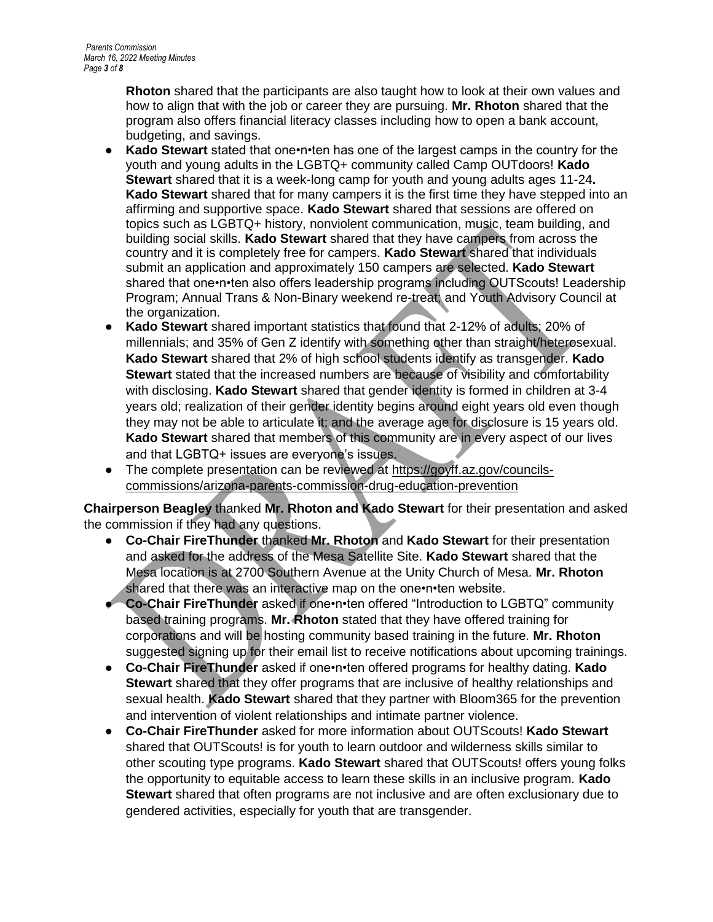**Rhoton** shared that the participants are also taught how to look at their own values and how to align that with the job or career they are pursuing. **Mr. Rhoton** shared that the program also offers financial literacy classes including how to open a bank account, budgeting, and savings.

- **Kado Stewart** stated that one•n•ten has one of the largest camps in the country for the youth and young adults in the LGBTQ+ community called Camp OUTdoors! **Kado Stewart** shared that it is a week-long camp for youth and young adults ages 11-24**. Kado Stewart** shared that for many campers it is the first time they have stepped into an affirming and supportive space. **Kado Stewart** shared that sessions are offered on topics such as LGBTQ+ history, nonviolent communication, music, team building, and building social skills. **Kado Stewart** shared that they have campers from across the country and it is completely free for campers. **Kado Stewart** shared that individuals submit an application and approximately 150 campers are selected. **Kado Stewart** shared that one•n•ten also offers leadership programs including OUTScouts! Leadership Program; Annual Trans & Non-Binary weekend re-treat; and Youth Advisory Council at the organization.
- **Kado Stewart** shared important statistics that found that 2-12% of adults; 20% of millennials; and 35% of Gen Z identify with something other than straight/heterosexual. **Kado Stewart** shared that 2% of high school students identify as transgender. **Kado Stewart** stated that the increased numbers are because of visibility and comfortability with disclosing. **Kado Stewart** shared that gender identity is formed in children at 3-4 years old; realization of their gender identity begins around eight years old even though they may not be able to articulate it; and the average age for disclosure is 15 years old. **Kado Stewart** shared that members of this community are in every aspect of our lives and that LGBTQ+ issues are everyone's issues.
- The complete presentation can be reviewed at [https://goyff.az.gov/councils](https://goyff.az.gov/councils-commissions/arizona-parents-commission-drug-education-prevention)[commissions/arizona-parents-commission-drug-education-prevention](https://goyff.az.gov/councils-commissions/arizona-parents-commission-drug-education-prevention)

**Chairperson Beagley** thanked **Mr. Rhoton and Kado Stewart** for their presentation and asked the commission if they had any questions.

- **Co-Chair FireThunder** thanked **Mr. Rhoton** and **Kado Stewart** for their presentation and asked for the address of the Mesa Satellite Site. **Kado Stewart** shared that the Mesa location is at 2700 Southern Avenue at the Unity Church of Mesa. **Mr. Rhoton** shared that there was an interactive map on the one•n•ten website.
- **Co-Chair FireThunder** asked if one•n•ten offered "Introduction to LGBTQ" community based training programs. **Mr. Rhoton** stated that they have offered training for corporations and will be hosting community based training in the future. **Mr. Rhoton** suggested signing up for their email list to receive notifications about upcoming trainings.
- **Co-Chair FireThunder** asked if one•n•ten offered programs for healthy dating. **Kado Stewart** shared that they offer programs that are inclusive of healthy relationships and sexual health. **Kado Stewart** shared that they partner with Bloom365 for the prevention and intervention of violent relationships and intimate partner violence.
- **Co-Chair FireThunder** asked for more information about OUTScouts! **Kado Stewart** shared that OUTScouts! is for youth to learn outdoor and wilderness skills similar to other scouting type programs. **Kado Stewart** shared that OUTScouts! offers young folks the opportunity to equitable access to learn these skills in an inclusive program. **Kado Stewart** shared that often programs are not inclusive and are often exclusionary due to gendered activities, especially for youth that are transgender.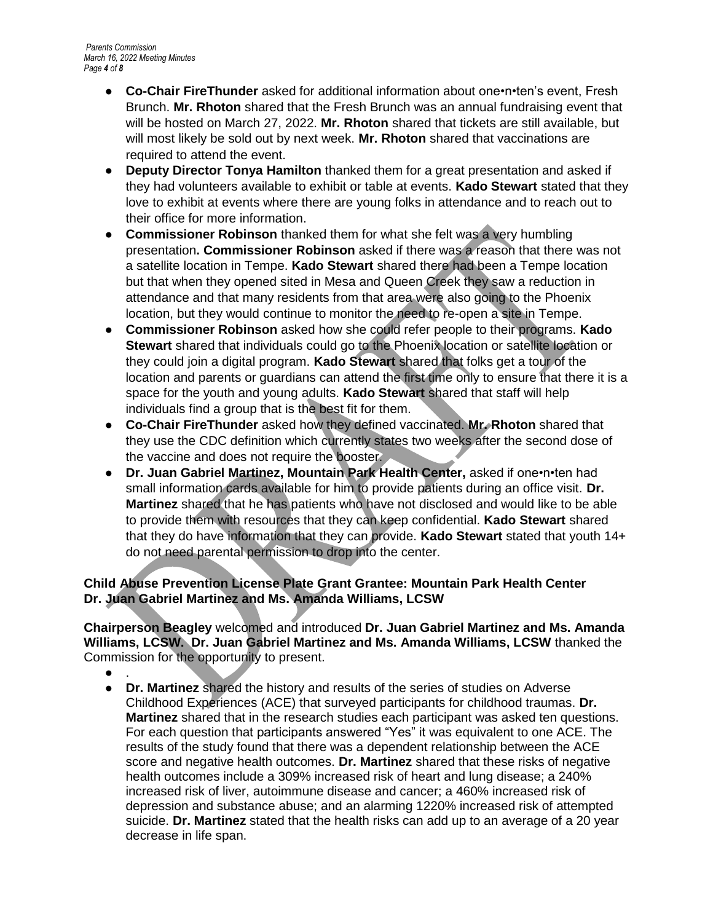- **Co-Chair FireThunder** asked for additional information about one•n•ten's event, Fresh Brunch. **Mr. Rhoton** shared that the Fresh Brunch was an annual fundraising event that will be hosted on March 27, 2022. **Mr. Rhoton** shared that tickets are still available, but will most likely be sold out by next week. **Mr. Rhoton** shared that vaccinations are required to attend the event.
- **Deputy Director Tonya Hamilton** thanked them for a great presentation and asked if they had volunteers available to exhibit or table at events. **Kado Stewart** stated that they love to exhibit at events where there are young folks in attendance and to reach out to their office for more information.
- **Commissioner Robinson** thanked them for what she felt was a very humbling presentation**. Commissioner Robinson** asked if there was a reason that there was not a satellite location in Tempe. **Kado Stewart** shared there had been a Tempe location but that when they opened sited in Mesa and Queen Creek they saw a reduction in attendance and that many residents from that area were also going to the Phoenix location, but they would continue to monitor the need to re-open a site in Tempe.
- **Commissioner Robinson** asked how she could refer people to their programs. **Kado Stewart** shared that individuals could go to the Phoenix location or satellite location or they could join a digital program. **Kado Stewart** shared that folks get a tour of the location and parents or guardians can attend the first time only to ensure that there it is a space for the youth and young adults. **Kado Stewart** shared that staff will help individuals find a group that is the best fit for them.
- **Co-Chair FireThunder** asked how they defined vaccinated. **Mr. Rhoton** shared that they use the CDC definition which currently states two weeks after the second dose of the vaccine and does not require the booster.
- **Dr. Juan Gabriel Martinez, Mountain Park Health Center,** asked if one•n•ten had small information cards available for him to provide patients during an office visit. **Dr. Martinez** shared that he has patients who have not disclosed and would like to be able to provide them with resources that they can keep confidential. **Kado Stewart** shared that they do have information that they can provide. **Kado Stewart** stated that youth 14+ do not need parental permission to drop into the center.

## **Child Abuse Prevention License Plate Grant Grantee: Mountain Park Health Center Dr. Juan Gabriel Martinez and Ms. Amanda Williams, LCSW**

**Chairperson Beagley** welcomed and introduced **Dr. Juan Gabriel Martinez and Ms. Amanda Williams, LCSW. Dr. Juan Gabriel Martinez and Ms. Amanda Williams, LCSW** thanked the Commission for the opportunity to present.

- $\bullet$  .
- **Dr. Martinez** shared the history and results of the series of studies on Adverse Childhood Experiences (ACE) that surveyed participants for childhood traumas. **Dr. Martinez** shared that in the research studies each participant was asked ten questions. For each question that participants answered "Yes" it was equivalent to one ACE. The results of the study found that there was a dependent relationship between the ACE score and negative health outcomes. **Dr. Martinez** shared that these risks of negative health outcomes include a 309% increased risk of heart and lung disease; a 240% increased risk of liver, autoimmune disease and cancer; a 460% increased risk of depression and substance abuse; and an alarming 1220% increased risk of attempted suicide. **Dr. Martinez** stated that the health risks can add up to an average of a 20 year decrease in life span.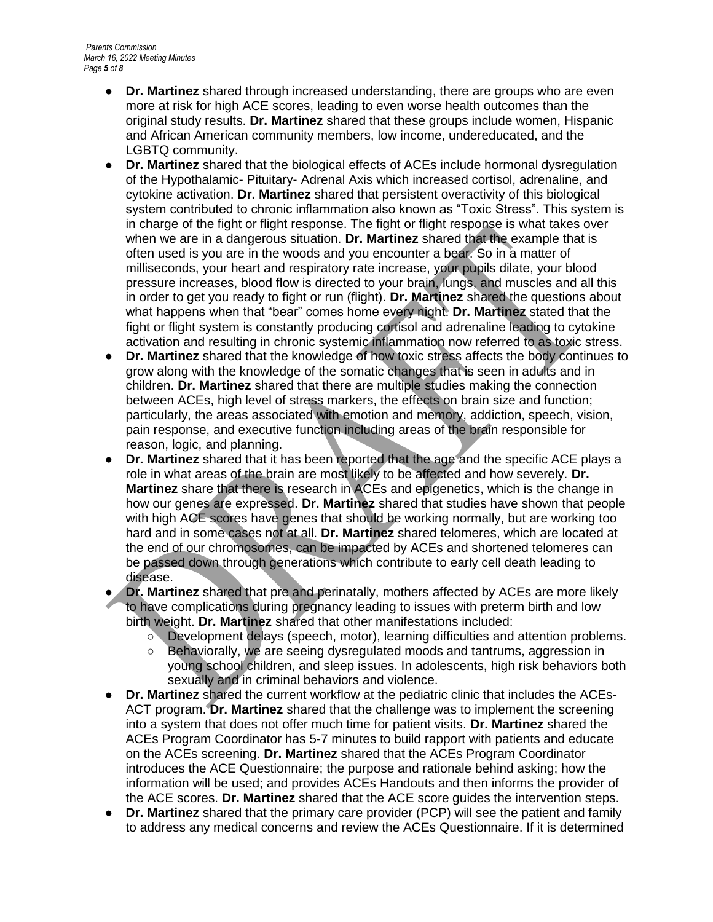- **Dr. Martinez** shared through increased understanding, there are groups who are even more at risk for high ACE scores, leading to even worse health outcomes than the original study results. **Dr. Martinez** shared that these groups include women, Hispanic and African American community members, low income, undereducated, and the LGBTQ community.
- **Dr. Martinez** shared that the biological effects of ACEs include hormonal dysregulation of the Hypothalamic- Pituitary- Adrenal Axis which increased cortisol, adrenaline, and cytokine activation. **Dr. Martinez** shared that persistent overactivity of this biological system contributed to chronic inflammation also known as "Toxic Stress". This system is in charge of the fight or flight response. The fight or flight response is what takes over when we are in a dangerous situation. **Dr. Martinez** shared that the example that is often used is you are in the woods and you encounter a bear. So in a matter of milliseconds, your heart and respiratory rate increase, your pupils dilate, your blood pressure increases, blood flow is directed to your brain, lungs, and muscles and all this in order to get you ready to fight or run (flight). **Dr. Martinez** shared the questions about what happens when that "bear" comes home every night. **Dr. Martinez** stated that the fight or flight system is constantly producing cortisol and adrenaline leading to cytokine activation and resulting in chronic systemic inflammation now referred to as toxic stress.
- **Dr. Martinez** shared that the knowledge of how toxic stress affects the body continues to grow along with the knowledge of the somatic changes that is seen in adults and in children. **Dr. Martinez** shared that there are multiple studies making the connection between ACEs, high level of stress markers, the effects on brain size and function; particularly, the areas associated with emotion and memory, addiction, speech, vision, pain response, and executive function including areas of the brain responsible for reason, logic, and planning.
- **Dr. Martinez** shared that it has been reported that the age and the specific ACE plays a role in what areas of the brain are most likely to be affected and how severely. **Dr. Martinez** share that there is research in ACEs and epigenetics, which is the change in how our genes are expressed. **Dr. Martinez** shared that studies have shown that people with high ACE scores have genes that should be working normally, but are working too hard and in some cases not at all. **Dr. Martinez** shared telomeres, which are located at the end of our chromosomes, can be impacted by ACEs and shortened telomeres can be passed down through generations which contribute to early cell death leading to disease.
- **Dr. Martinez** shared that pre and perinatally, mothers affected by ACEs are more likely to have complications during pregnancy leading to issues with preterm birth and low birth weight. **Dr. Martinez** shared that other manifestations included:
	- Development delays (speech, motor), learning difficulties and attention problems.
	- Behaviorally, we are seeing dysregulated moods and tantrums, aggression in young school children, and sleep issues. In adolescents, high risk behaviors both sexually and in criminal behaviors and violence.
- **Dr. Martinez** shared the current workflow at the pediatric clinic that includes the ACEs-ACT program. **Dr. Martinez** shared that the challenge was to implement the screening into a system that does not offer much time for patient visits. **Dr. Martinez** shared the ACEs Program Coordinator has 5-7 minutes to build rapport with patients and educate on the ACEs screening. **Dr. Martinez** shared that the ACEs Program Coordinator introduces the ACE Questionnaire; the purpose and rationale behind asking; how the information will be used; and provides ACEs Handouts and then informs the provider of the ACE scores. **Dr. Martinez** shared that the ACE score guides the intervention steps.
- **Dr. Martinez** shared that the primary care provider (PCP) will see the patient and family to address any medical concerns and review the ACEs Questionnaire. If it is determined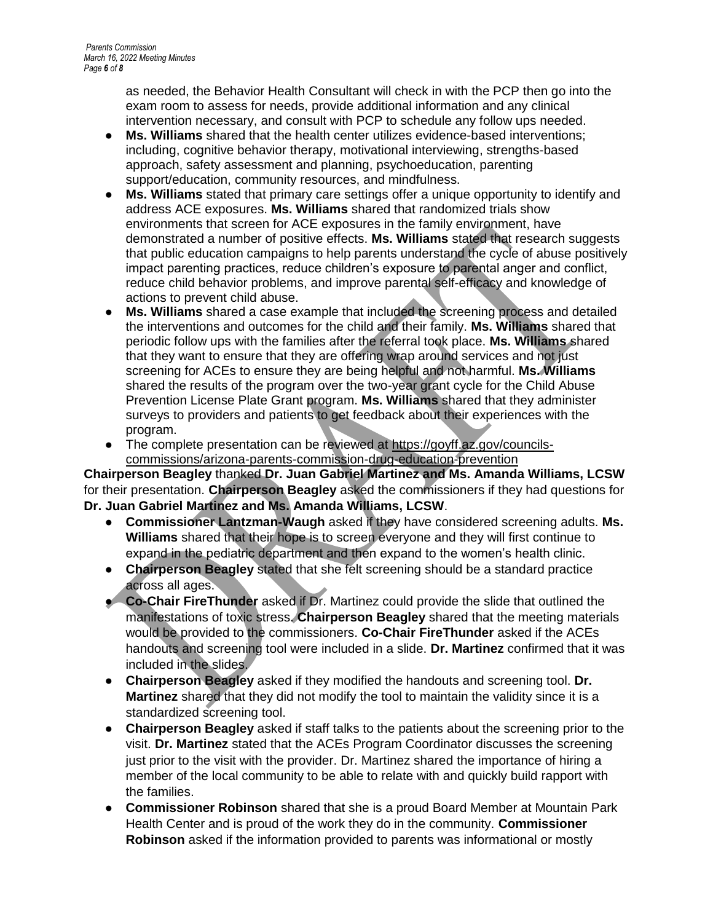as needed, the Behavior Health Consultant will check in with the PCP then go into the exam room to assess for needs, provide additional information and any clinical intervention necessary, and consult with PCP to schedule any follow ups needed.

- **Ms. Williams** shared that the health center utilizes evidence-based interventions; including, cognitive behavior therapy, motivational interviewing, strengths-based approach, safety assessment and planning, psychoeducation, parenting support/education, community resources, and mindfulness.
- **Ms. Williams** stated that primary care settings offer a unique opportunity to identify and address ACE exposures. **Ms. Williams** shared that randomized trials show environments that screen for ACE exposures in the family environment, have demonstrated a number of positive effects. **Ms. Williams** stated that research suggests that public education campaigns to help parents understand the cycle of abuse positively impact parenting practices, reduce children's exposure to parental anger and conflict, reduce child behavior problems, and improve parental self-efficacy and knowledge of actions to prevent child abuse.
- **Ms. Williams** shared a case example that included the screening process and detailed the interventions and outcomes for the child and their family. **Ms. Williams** shared that periodic follow ups with the families after the referral took place. **Ms. Williams** shared that they want to ensure that they are offering wrap around services and not just screening for ACEs to ensure they are being helpful and not harmful. **Ms. Williams** shared the results of the program over the two-year grant cycle for the Child Abuse Prevention License Plate Grant program. **Ms. Williams** shared that they administer surveys to providers and patients to get feedback about their experiences with the program.
- The complete presentation can be reviewed at [https://goyff.az.gov/councils](https://goyff.az.gov/councils-commissions/arizona-parents-commission-drug-education-prevention)[commissions/arizona-parents-commission-drug-education-prevention](https://goyff.az.gov/councils-commissions/arizona-parents-commission-drug-education-prevention)

**Chairperson Beagley** thanked **Dr. Juan Gabriel Martinez and Ms. Amanda Williams, LCSW** for their presentation. **Chairperson Beagley** asked the commissioners if they had questions for **Dr. Juan Gabriel Martinez and Ms. Amanda Williams, LCSW**.

- **Commissioner Lantzman-Waugh** asked if they have considered screening adults. **Ms. Williams** shared that their hope is to screen everyone and they will first continue to expand in the pediatric department and then expand to the women's health clinic.
- **Chairperson Beagley** stated that she felt screening should be a standard practice across all ages.
- **Co-Chair FireThunder** asked if Dr. Martinez could provide the slide that outlined the manifestations of toxic stress. **Chairperson Beagley** shared that the meeting materials would be provided to the commissioners. **Co-Chair FireThunder** asked if the ACEs handouts and screening tool were included in a slide. **Dr. Martinez** confirmed that it was included in the slides.
- **Chairperson Beagley** asked if they modified the handouts and screening tool. **Dr. Martinez** shared that they did not modify the tool to maintain the validity since it is a standardized screening tool.
- **Chairperson Beagley** asked if staff talks to the patients about the screening prior to the visit. **Dr. Martinez** stated that the ACEs Program Coordinator discusses the screening just prior to the visit with the provider. Dr. Martinez shared the importance of hiring a member of the local community to be able to relate with and quickly build rapport with the families.
- **Commissioner Robinson** shared that she is a proud Board Member at Mountain Park Health Center and is proud of the work they do in the community. **Commissioner Robinson** asked if the information provided to parents was informational or mostly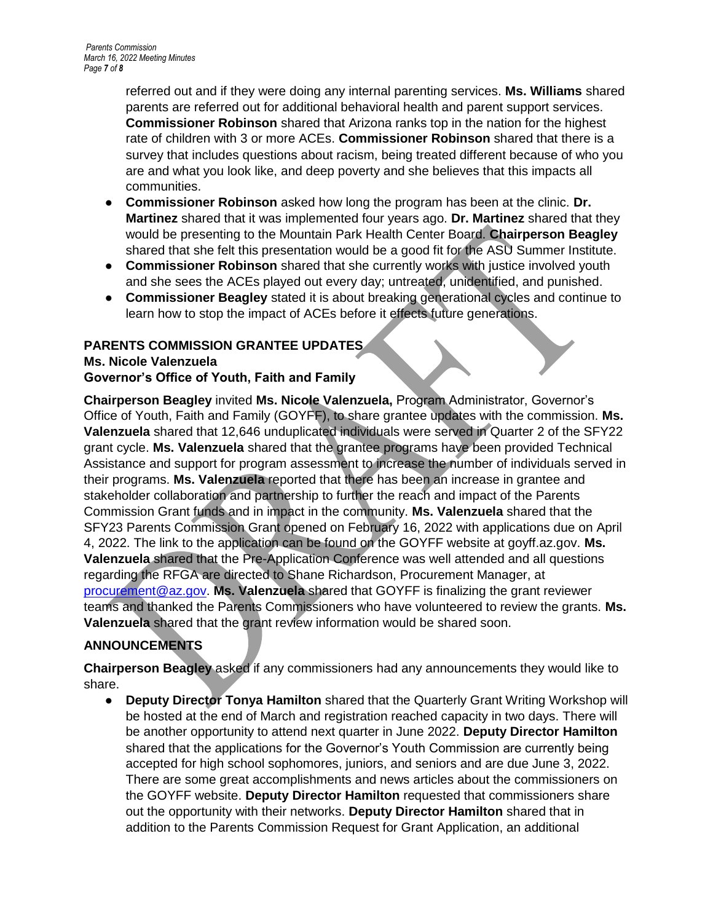referred out and if they were doing any internal parenting services. **Ms. Williams** shared parents are referred out for additional behavioral health and parent support services. **Commissioner Robinson** shared that Arizona ranks top in the nation for the highest rate of children with 3 or more ACEs. **Commissioner Robinson** shared that there is a survey that includes questions about racism, being treated different because of who you are and what you look like, and deep poverty and she believes that this impacts all communities.

- **Commissioner Robinson** asked how long the program has been at the clinic. **Dr. Martinez** shared that it was implemented four years ago. **Dr. Martinez** shared that they would be presenting to the Mountain Park Health Center Board. **Chairperson Beagley** shared that she felt this presentation would be a good fit for the ASU Summer Institute.
- **Commissioner Robinson** shared that she currently works with justice involved youth and she sees the ACEs played out every day; untreated, unidentified, and punished.
- **Commissioner Beagley** stated it is about breaking generational cycles and continue to learn how to stop the impact of ACEs before it effects future generations.

# **PARENTS COMMISSION GRANTEE UPDATES**

## **Ms. Nicole Valenzuela Governor's Office of Youth, Faith and Family**

**Chairperson Beagley** invited **Ms. Nicole Valenzuela,** Program Administrator, Governor's Office of Youth, Faith and Family (GOYFF), to share grantee updates with the commission. **Ms. Valenzuela** shared that 12,646 unduplicated individuals were served in Quarter 2 of the SFY22 grant cycle. **Ms. Valenzuela** shared that the grantee programs have been provided Technical Assistance and support for program assessment to increase the number of individuals served in their programs. **Ms. Valenzuela** reported that there has been an increase in grantee and stakeholder collaboration and partnership to further the reach and impact of the Parents Commission Grant funds and in impact in the community. **Ms. Valenzuela** shared that the SFY23 Parents Commission Grant opened on February 16, 2022 with applications due on April 4, 2022. The link to the application can be found on the GOYFF website at goyff.az.gov. **Ms. Valenzuela** shared that the Pre-Application Conference was well attended and all questions regarding the RFGA are directed to Shane Richardson, Procurement Manager, at [procurement@az.gov.](mailto:procurement@az.gov) **Ms. Valenzuela** shared that GOYFF is finalizing the grant reviewer teams and thanked the Parents Commissioners who have volunteered to review the grants. **Ms. Valenzuela** shared that the grant review information would be shared soon.

# **ANNOUNCEMENTS**

**Chairperson Beagley** asked if any commissioners had any announcements they would like to share.

● **Deputy Director Tonya Hamilton** shared that the Quarterly Grant Writing Workshop will be hosted at the end of March and registration reached capacity in two days. There will be another opportunity to attend next quarter in June 2022. **Deputy Director Hamilton** shared that the applications for the Governor's Youth Commission are currently being accepted for high school sophomores, juniors, and seniors and are due June 3, 2022. There are some great accomplishments and news articles about the commissioners on the GOYFF website. **Deputy Director Hamilton** requested that commissioners share out the opportunity with their networks. **Deputy Director Hamilton** shared that in addition to the Parents Commission Request for Grant Application, an additional